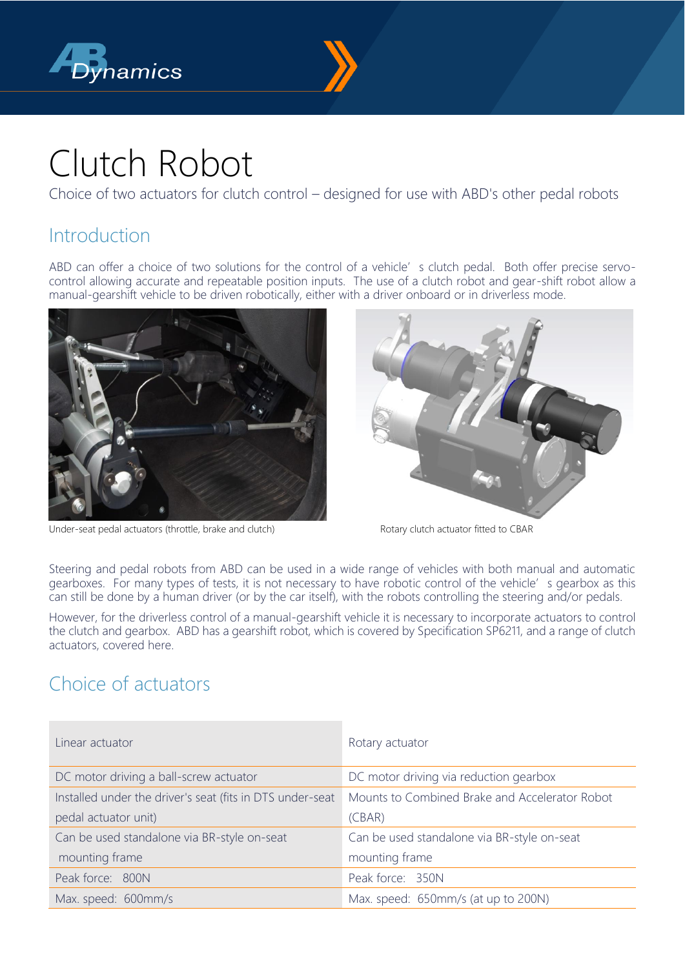



# Clutch Robot

Choice of two actuators for clutch control – designed for use with ABD's other pedal robots

### Introduction

ABD can offer a choice of two solutions for the control of a vehicle's clutch pedal. Both offer precise servocontrol allowing accurate and repeatable position inputs. The use of a clutch robot and gear-shift robot allow a manual-gearshift vehicle to be driven robotically, either with a driver onboard or in driverless mode.





Under-seat pedal actuators (throttle, brake and clutch) Rotary clutch actuator fitted to CBAR

Steering and pedal robots from ABD can be used in a wide range of vehicles with both manual and automatic gearboxes. For many types of tests, it is not necessary to have robotic control of the vehicle's gearbox as this can still be done by a human driver (or by the car itself), with the robots controlling the steering and/or pedals.

However, for the driverless control of a manual-gearshift vehicle it is necessary to incorporate actuators to control the clutch and gearbox. ABD has a gearshift robot, which is covered by Specification SP6211, and a range of clutch actuators, covered here.

## Choice of actuators

| Linear actuator                                           | Rotary actuator                                |  |
|-----------------------------------------------------------|------------------------------------------------|--|
|                                                           |                                                |  |
| DC motor driving a ball-screw actuator                    | DC motor driving via reduction gearbox         |  |
| Installed under the driver's seat (fits in DTS under-seat | Mounts to Combined Brake and Accelerator Robot |  |
| pedal actuator unit)                                      | (CBAR)                                         |  |
| Can be used standalone via BR-style on-seat               | Can be used standalone via BR-style on-seat    |  |
| mounting frame                                            | mounting frame                                 |  |
| Peak force: 800N                                          | Peak force: 350N                               |  |
| Max. speed: 600mm/s                                       | Max. speed: 650mm/s (at up to 200N)            |  |